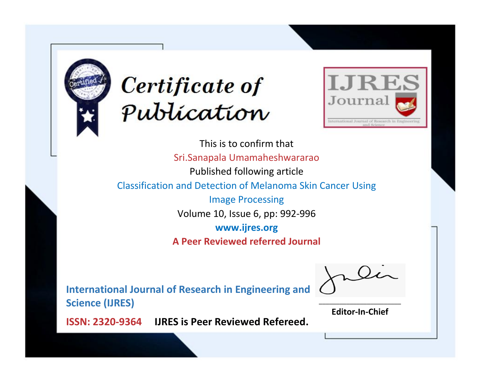



This is to confirm that Sri.Sanapala Umamaheshwararao Published following article Classification and Detection of Melanoma Skin Cancer Using Image Processing Volume 10, Issue 6, pp: 992-996 **www.ijres.org A Peer Reviewed referred Journal**

**International Journal of Research in Engineering and Science (IJRES)**

\_\_\_\_\_\_\_\_\_\_\_\_\_\_\_\_\_\_\_\_\_\_\_\_ **Editor-In-Chief**

**Journal.**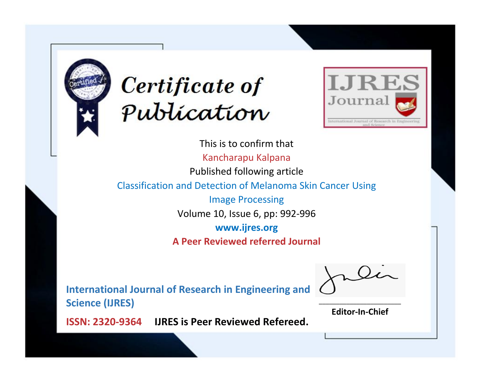



This is to confirm that Kancharapu Kalpana Published following article Classification and Detection of Melanoma Skin Cancer Using Image Processing Volume 10, Issue 6, pp: 992-996 **www.ijres.org A Peer Reviewed referred Journal**

**International Journal of Research in Engineering and Science (IJRES)**

\_\_\_\_\_\_\_\_\_\_\_\_\_\_\_\_\_\_\_\_\_\_\_\_ **Editor-In-Chief**

**Journal.**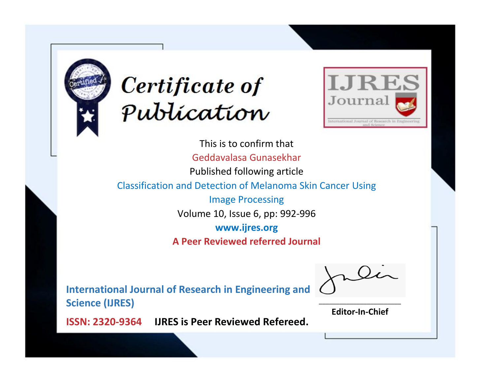



This is to confirm that Geddavalasa Gunasekhar Published following article Classification and Detection of Melanoma Skin Cancer Using Image Processing Volume 10, Issue 6, pp: 992-996 **www.ijres.org A Peer Reviewed referred Journal**

**International Journal of Research in Engineering and Science (IJRES)**

\_\_\_\_\_\_\_\_\_\_\_\_\_\_\_\_\_\_\_\_\_\_\_\_ **Editor-In-Chief**

**Journal.**